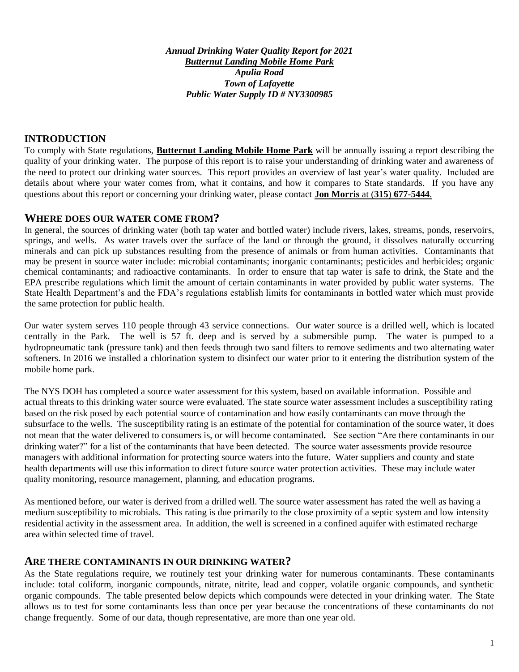*Annual Drinking Water Quality Report for 2021 Butternut Landing Mobile Home Park Apulia Road Town of Lafayette Public Water Supply ID # NY3300985*

#### **INTRODUCTION**

To comply with State regulations, **Butternut Landing Mobile Home Park** will be annually issuing a report describing the quality of your drinking water. The purpose of this report is to raise your understanding of drinking water and awareness of the need to protect our drinking water sources. This report provides an overview of last year's water quality. Included are details about where your water comes from, what it contains, and how it compares to State standards. If you have any questions about this report or concerning your drinking water, please contact **Jon Morris** at (**315**) **677-5444**.

#### **WHERE DOES OUR WATER COME FROM?**

In general, the sources of drinking water (both tap water and bottled water) include rivers, lakes, streams, ponds, reservoirs, springs, and wells. As water travels over the surface of the land or through the ground, it dissolves naturally occurring minerals and can pick up substances resulting from the presence of animals or from human activities. Contaminants that may be present in source water include: microbial contaminants; inorganic contaminants; pesticides and herbicides; organic chemical contaminants; and radioactive contaminants. In order to ensure that tap water is safe to drink, the State and the EPA prescribe regulations which limit the amount of certain contaminants in water provided by public water systems. The State Health Department's and the FDA's regulations establish limits for contaminants in bottled water which must provide the same protection for public health.

Our water system serves 110 people through 43 service connections. Our water source is a drilled well, which is located centrally in the Park. The well is 57 ft. deep and is served by a submersible pump. The water is pumped to a hydropneumatic tank (pressure tank) and then feeds through two sand filters to remove sediments and two alternating water softeners. In 2016 we installed a chlorination system to disinfect our water prior to it entering the distribution system of the mobile home park.

The NYS DOH has completed a source water assessment for this system, based on available information. Possible and actual threats to this drinking water source were evaluated. The state source water assessment includes a susceptibility rating based on the risk posed by each potential source of contamination and how easily contaminants can move through the subsurface to the wells. The susceptibility rating is an estimate of the potential for contamination of the source water, it does not mean that the water delivered to consumers is, or will become contaminated*.* See section "Are there contaminants in our drinking water?" for a list of the contaminants that have been detected. The source water assessments provide resource managers with additional information for protecting source waters into the future. Water suppliers and county and state health departments will use this information to direct future source water protection activities. These may include water quality monitoring, resource management, planning, and education programs.

As mentioned before, our water is derived from a drilled well. The source water assessment has rated the well as having a medium susceptibility to microbials. This rating is due primarily to the close proximity of a septic system and low intensity residential activity in the assessment area. In addition, the well is screened in a confined aquifer with estimated recharge area within selected time of travel.

#### **ARE THERE CONTAMINANTS IN OUR DRINKING WATER?**

As the State regulations require, we routinely test your drinking water for numerous contaminants. These contaminants include: total coliform, inorganic compounds, nitrate, nitrite, lead and copper, volatile organic compounds, and synthetic organic compounds. The table presented below depicts which compounds were detected in your drinking water. The State allows us to test for some contaminants less than once per year because the concentrations of these contaminants do not change frequently. Some of our data, though representative, are more than one year old.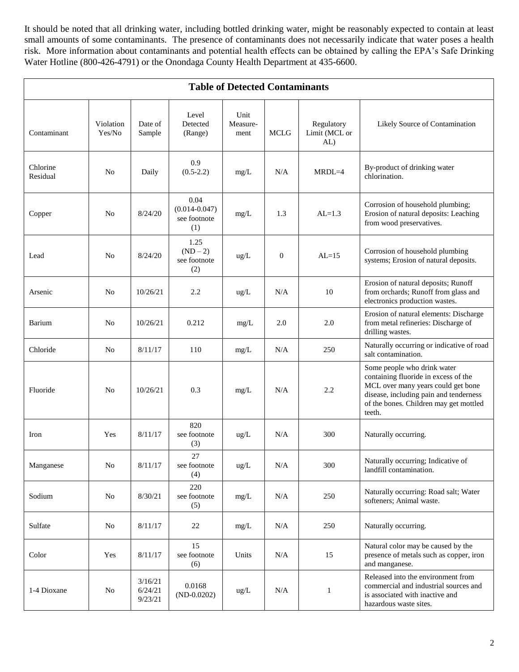It should be noted that all drinking water, including bottled drinking water, might be reasonably expected to contain at least small amounts of some contaminants. The presence of contaminants does not necessarily indicate that water poses a health risk. More information about contaminants and potential health effects can be obtained by calling the EPA's Safe Drinking Water Hotline (800-426-4791) or the Onondaga County Health Department at 435-6600.

| <b>Table of Detected Contaminants</b> |                     |                               |                                                  |                          |                |                                    |                                                                                                                                                                                                         |
|---------------------------------------|---------------------|-------------------------------|--------------------------------------------------|--------------------------|----------------|------------------------------------|---------------------------------------------------------------------------------------------------------------------------------------------------------------------------------------------------------|
| Contaminant                           | Violation<br>Yes/No | Date of<br>Sample             | Level<br>Detected<br>(Range)                     | Unit<br>Measure-<br>ment | <b>MCLG</b>    | Regulatory<br>Limit (MCL or<br>AL) | Likely Source of Contamination                                                                                                                                                                          |
| Chlorine<br>Residual                  | N <sub>o</sub>      | Daily                         | 0.9<br>$(0.5-2.2)$                               | mg/L                     | N/A            | MRDL=4                             | By-product of drinking water<br>chlorination.                                                                                                                                                           |
| Copper                                | N <sub>0</sub>      | 8/24/20                       | 0.04<br>$(0.014 - 0.047)$<br>see footnote<br>(1) | mg/L                     | 1.3            | $AL=1.3$                           | Corrosion of household plumbing;<br>Erosion of natural deposits: Leaching<br>from wood preservatives.                                                                                                   |
| Lead                                  | N <sub>0</sub>      | 8/24/20                       | 1.25<br>$(ND - 2)$<br>see footnote<br>(2)        | ug/L                     | $\overline{0}$ | $AL=15$                            | Corrosion of household plumbing<br>systems; Erosion of natural deposits.                                                                                                                                |
| Arsenic                               | N <sub>o</sub>      | 10/26/21                      | 2.2                                              | ug/L                     | N/A            | 10                                 | Erosion of natural deposits; Runoff<br>from orchards; Runoff from glass and<br>electronics production wastes.                                                                                           |
| Barium                                | N <sub>0</sub>      | 10/26/21                      | 0.212                                            | mg/L                     | 2.0            | 2.0                                | Erosion of natural elements: Discharge<br>from metal refineries: Discharge of<br>drilling wastes.                                                                                                       |
| Chloride                              | N <sub>0</sub>      | 8/11/17                       | 110                                              | mg/L                     | N/A            | 250                                | Naturally occurring or indicative of road<br>salt contamination.                                                                                                                                        |
| Fluoride                              | N <sub>0</sub>      | 10/26/21                      | 0.3                                              | mg/L                     | N/A            | 2.2                                | Some people who drink water<br>containing fluoride in excess of the<br>MCL over many years could get bone<br>disease, including pain and tenderness<br>of the bones. Children may get mottled<br>teeth. |
| Iron                                  | Yes                 | 8/11/17                       | 820<br>see footnote<br>(3)                       | ug/L                     | N/A            | 300                                | Naturally occurring.                                                                                                                                                                                    |
| Manganese                             | N <sub>o</sub>      | 8/11/17                       | 27<br>see footnote<br>(4)                        | ug/L                     | $\rm N/A$      | 300                                | Naturally occurring; Indicative of<br>landfill contamination.                                                                                                                                           |
| Sodium                                | N <sub>0</sub>      | 8/30/21                       | 220<br>see footnote<br>(5)                       | mg/L                     | N/A            | 250                                | Naturally occurring: Road salt; Water<br>softeners; Animal waste.                                                                                                                                       |
| Sulfate                               | N <sub>0</sub>      | 8/11/17                       | 22                                               | mg/L                     | N/A            | 250                                | Naturally occurring.                                                                                                                                                                                    |
| Color                                 | Yes                 | 8/11/17                       | 15<br>see footnote<br>(6)                        | Units                    | N/A            | 15                                 | Natural color may be caused by the<br>presence of metals such as copper, iron<br>and manganese.                                                                                                         |
| 1-4 Dioxane                           | N <sub>0</sub>      | 3/16/21<br>6/24/21<br>9/23/21 | 0.0168<br>$(ND-0.0202)$                          | ug/L                     | N/A            | $\mathbf{1}$                       | Released into the environment from<br>commercial and industrial sources and<br>is associated with inactive and<br>hazardous waste sites.                                                                |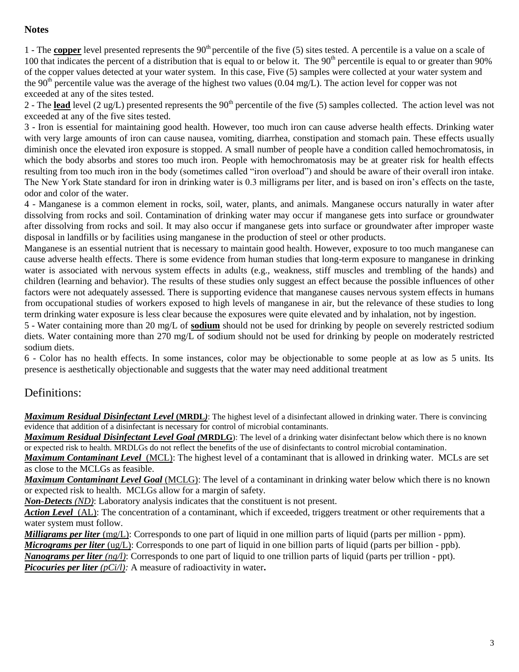#### **Notes**

1 - The **copper** level presented represents the 90<sup>th</sup> percentile of the five (5) sites tested. A percentile is a value on a scale of 100 that indicates the percent of a distribution that is equal to or below it. The  $90<sup>th</sup>$  percentile is equal to or greater than  $90\%$ of the copper values detected at your water system. In this case, Five (5) samples were collected at your water system and the 90<sup>th</sup> percentile value was the average of the highest two values (0.04 mg/L). The action level for copper was not exceeded at any of the sites tested.

2 - The **lead** level (2 ug/L) presented represents the 90<sup>th</sup> percentile of the five (5) samples collected. The action level was not exceeded at any of the five sites tested.

3 - Iron is essential for maintaining good health. However, too much iron can cause adverse health effects. Drinking water with very large amounts of iron can cause nausea, vomiting, diarrhea, constipation and stomach pain. These effects usually diminish once the elevated iron exposure is stopped. A small number of people have a condition called hemochromatosis, in which the body absorbs and stores too much iron. People with hemochromatosis may be at greater risk for health effects resulting from too much iron in the body (sometimes called "iron overload") and should be aware of their overall iron intake. The New York State standard for iron in drinking water is 0.3 milligrams per liter, and is based on iron's effects on the taste, odor and color of the water.

4 - Manganese is a common element in rocks, soil, water, plants, and animals. Manganese occurs naturally in water after dissolving from rocks and soil. Contamination of drinking water may occur if manganese gets into surface or groundwater after dissolving from rocks and soil. It may also occur if manganese gets into surface or groundwater after improper waste disposal in landfills or by facilities using manganese in the production of steel or other products.

Manganese is an essential nutrient that is necessary to maintain good health. However, exposure to too much manganese can cause adverse health effects. There is some evidence from human studies that long-term exposure to manganese in drinking water is associated with nervous system effects in adults (e.g., weakness, stiff muscles and trembling of the hands) and children (learning and behavior). The results of these studies only suggest an effect because the possible influences of other factors were not adequately assessed. There is supporting evidence that manganese causes nervous system effects in humans from occupational studies of workers exposed to high levels of manganese in air, but the relevance of these studies to long term drinking water exposure is less clear because the exposures were quite elevated and by inhalation, not by ingestion.

5 - Water containing more than 20 mg/L of **sodium** should not be used for drinking by people on severely restricted sodium diets. Water containing more than 270 mg/L of sodium should not be used for drinking by people on moderately restricted sodium diets.

6 - Color has no health effects. In some instances, color may be objectionable to some people at as low as 5 units. Its presence is aesthetically objectionable and suggests that the water may need additional treatment

# Definitions:

*Maximum Residual Disinfectant Level* **(MRDL***)*: The highest level of a disinfectant allowed in drinking water. There is convincing evidence that addition of a disinfectant is necessary for control of microbial contaminants.

*Maximum Residual Disinfectant Level Goal (***MRDLG**): The level of a drinking water disinfectant below which there is no known or expected risk to health. MRDLGs do not reflect the benefits of the use of disinfectants to control microbial contamination.

*Maximum Contaminant Level*(MCL): The highest level of a contaminant that is allowed in drinking water. MCLs are set as close to the MCLGs as feasible.

*Maximum Contaminant Level Goal* (MCLG): The level of a contaminant in drinking water below which there is no known or expected risk to health. MCLGs allow for a margin of safety.

*Non-Detects (ND)*: Laboratory analysis indicates that the constituent is not present.

Action Level (AL): The concentration of a contaminant, which if exceeded, triggers treatment or other requirements that a water system must follow.

*Milligrams per liter* (mg/L): Corresponds to one part of liquid in one million parts of liquid (parts per million - ppm). *Micrograms per liter* (ug/L): Corresponds to one part of liquid in one billion parts of liquid (parts per billion - ppb). *Nanograms per liter (ng/l)*: Corresponds to one part of liquid to one trillion parts of liquid (parts per trillion - ppt).

*Picocuries per liter (pCi/l):* A measure of radioactivity in water.